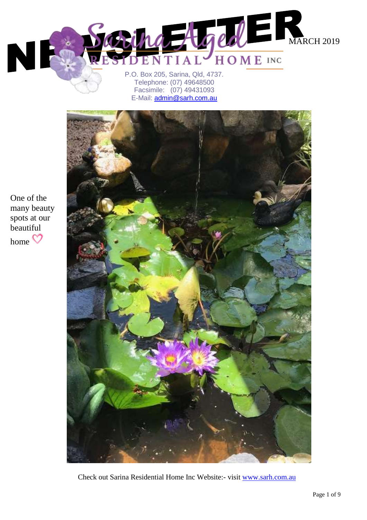

P.O. Box 205, Sarina, Qld, 4737. Telephone: (07) 49648500 Facsimile: (07) 49431093 E-Mail: *admin@sarh.com.au* 



Check out Sarina Residential Home Inc Website:- visit [www.sarh.com.au](http://www.sarh.com.au/)

One of the many beauty spots at our beautiful home  $\heartsuit$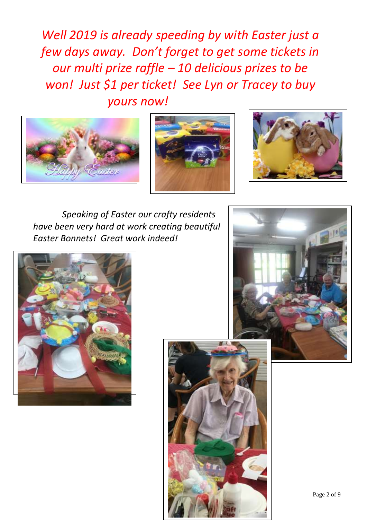*Well 2019 is already speeding by with Easter just a few days away. Don't forget to get some tickets in our multi prize raffle – 10 delicious prizes to be won! Just \$1 per ticket! See Lyn or Tracey to buy yours now!*







 *Speaking of Easter our crafty residents have been very hard at work creating beautiful Easter Bonnets! Great work indeed!*





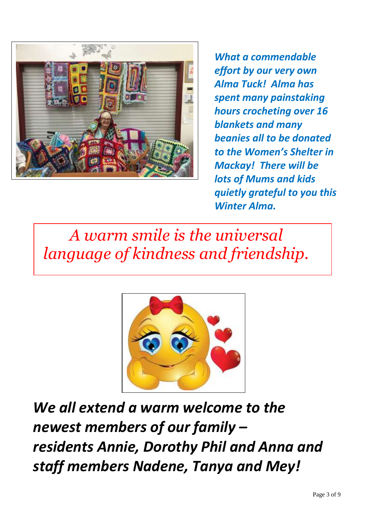

*What a commendable effort by our very own Alma Tuck! Alma has spent many painstaking hours crocheting over 16 blankets and many beanies all to be donated to the Women's Shelter in Mackay! There will be lots of Mums and kids quietly grateful to you this Winter Alma.* 

*A warm smile is the universal language of kindness and friendship.*



*We all extend a warm welcome to the newest members of our family – residents Annie, Dorothy Phil and Anna and staff members Nadene, Tanya and Mey!*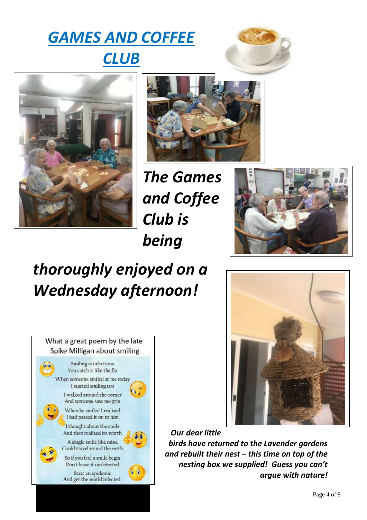# *GAMES AND COFFEE CLUB*







*The Games and Coffee Club is being* 



# *thoroughly enjoyed on a Wednesday afternoon!*





*Our dear little birds have returned to the Lavender gardens and rebuilt their nest – this time on top of the nesting box we supplied! Guess you can't argue with nature!*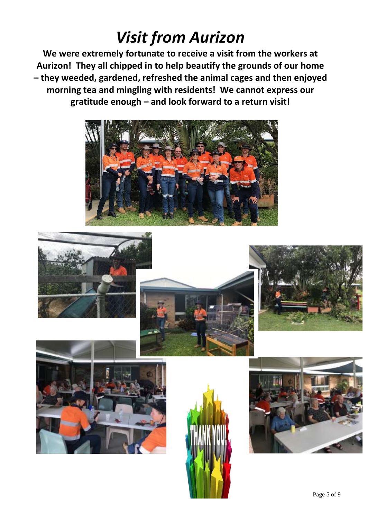## *Visit from Aurizon*

**We were extremely fortunate to receive a visit from the workers at Aurizon! They all chipped in to help beautify the grounds of our home – they weeded, gardened, refreshed the animal cages and then enjoyed morning tea and mingling with residents! We cannot express our gratitude enough – and look forward to a return visit!**













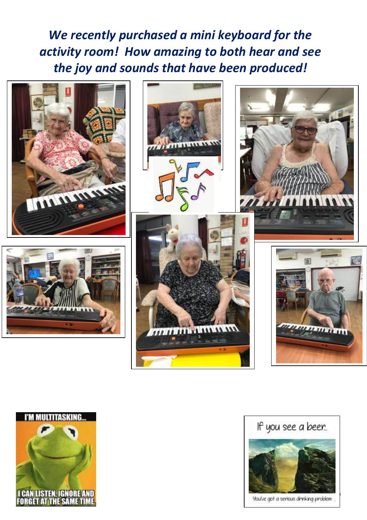*We recently purchased a mini keyboard for the activity room! How amazing to both hear and see the joy and sounds that have been produced!*









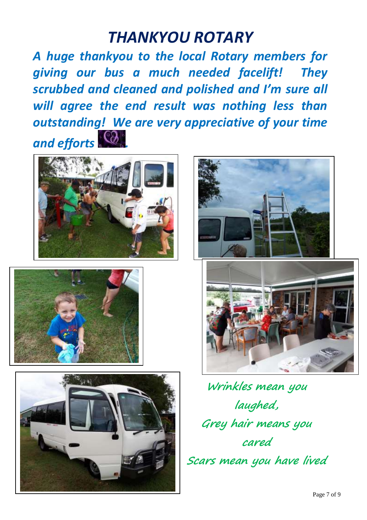### *THANKYOU ROTARY*

*A huge thankyou to the local Rotary members for giving our bus a much needed facelift! They scrubbed and cleaned and polished and I'm sure all will agree the end result was nothing less than outstanding! We are very appreciative of your time and efforts .*











**Wrinkles mean you laughed, Grey hair means you cared Scars mean you have lived**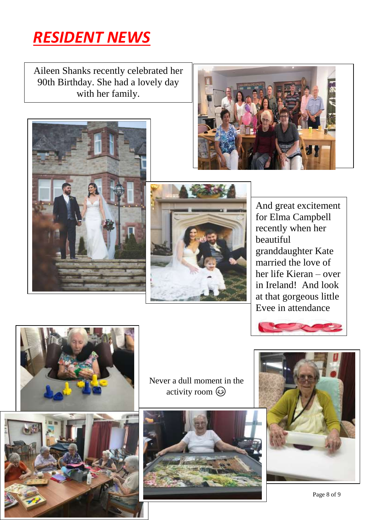

I

Aileen Shanks recently celebrated her 90th Birthday. She had a lovely day with her family.







And great excitement for Elma Campbell recently when her beautiful granddaughter Kate married the love of her life Kieran – over in Ireland! And look at that gorgeous little Evee in attendance







Never a dull moment in the activity room  $\odot$